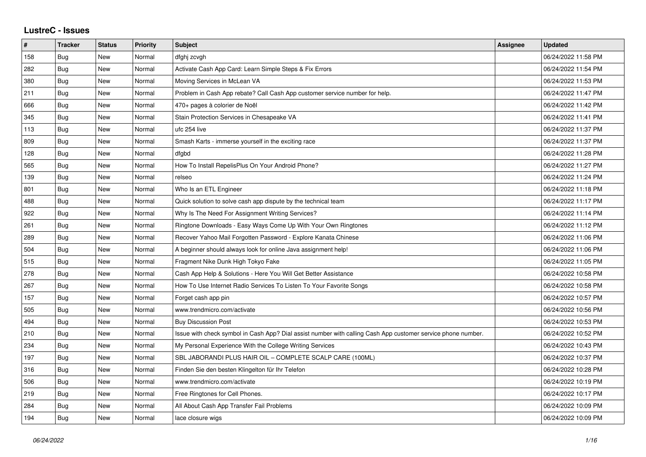## **LustreC - Issues**

| $\pmb{\#}$ | <b>Tracker</b> | <b>Status</b> | <b>Priority</b> | <b>Subject</b>                                                                                               | Assignee | <b>Updated</b>      |
|------------|----------------|---------------|-----------------|--------------------------------------------------------------------------------------------------------------|----------|---------------------|
| 158        | <b>Bug</b>     | New           | Normal          | dfghj zcvgh                                                                                                  |          | 06/24/2022 11:58 PM |
| 282        | Bug            | New           | Normal          | Activate Cash App Card: Learn Simple Steps & Fix Errors                                                      |          | 06/24/2022 11:54 PM |
| 380        | Bug            | New           | Normal          | Moving Services in McLean VA                                                                                 |          | 06/24/2022 11:53 PM |
| 211        | Bug            | New           | Normal          | Problem in Cash App rebate? Call Cash App customer service number for help.                                  |          | 06/24/2022 11:47 PM |
| 666        | Bug            | New           | Normal          | 470+ pages à colorier de Noël                                                                                |          | 06/24/2022 11:42 PM |
| 345        | Bug            | New           | Normal          | Stain Protection Services in Chesapeake VA                                                                   |          | 06/24/2022 11:41 PM |
| 113        | Bug            | New           | Normal          | ufc 254 live                                                                                                 |          | 06/24/2022 11:37 PM |
| 809        | Bug            | New           | Normal          | Smash Karts - immerse yourself in the exciting race                                                          |          | 06/24/2022 11:37 PM |
| 128        | Bug            | New           | Normal          | dfgbd                                                                                                        |          | 06/24/2022 11:28 PM |
| 565        | Bug            | New           | Normal          | How To Install RepelisPlus On Your Android Phone?                                                            |          | 06/24/2022 11:27 PM |
| 139        | <b>Bug</b>     | <b>New</b>    | Normal          | relseo                                                                                                       |          | 06/24/2022 11:24 PM |
| 801        | Bug            | New           | Normal          | Who Is an ETL Engineer                                                                                       |          | 06/24/2022 11:18 PM |
| 488        | Bug            | <b>New</b>    | Normal          | Quick solution to solve cash app dispute by the technical team                                               |          | 06/24/2022 11:17 PM |
| 922        | Bug            | <b>New</b>    | Normal          | Why Is The Need For Assignment Writing Services?                                                             |          | 06/24/2022 11:14 PM |
| 261        | Bug            | New           | Normal          | Ringtone Downloads - Easy Ways Come Up With Your Own Ringtones                                               |          | 06/24/2022 11:12 PM |
| 289        | Bug            | New           | Normal          | Recover Yahoo Mail Forgotten Password - Explore Kanata Chinese                                               |          | 06/24/2022 11:06 PM |
| 504        | Bug            | <b>New</b>    | Normal          | A beginner should always look for online Java assignment help!                                               |          | 06/24/2022 11:06 PM |
| 515        | Bug            | New           | Normal          | Fragment Nike Dunk High Tokyo Fake                                                                           |          | 06/24/2022 11:05 PM |
| 278        | Bug            | New           | Normal          | Cash App Help & Solutions - Here You Will Get Better Assistance                                              |          | 06/24/2022 10:58 PM |
| 267        | Bug            | New           | Normal          | How To Use Internet Radio Services To Listen To Your Favorite Songs                                          |          | 06/24/2022 10:58 PM |
| 157        | Bug            | New           | Normal          | Forget cash app pin                                                                                          |          | 06/24/2022 10:57 PM |
| 505        | Bug            | New           | Normal          | www.trendmicro.com/activate                                                                                  |          | 06/24/2022 10:56 PM |
| 494        | Bug            | New           | Normal          | <b>Buy Discussion Post</b>                                                                                   |          | 06/24/2022 10:53 PM |
| 210        | Bug            | New           | Normal          | Issue with check symbol in Cash App? Dial assist number with calling Cash App customer service phone number. |          | 06/24/2022 10:52 PM |
| 234        | Bug            | <b>New</b>    | Normal          | My Personal Experience With the College Writing Services                                                     |          | 06/24/2022 10:43 PM |
| 197        | <b>Bug</b>     | <b>New</b>    | Normal          | SBL JABORANDI PLUS HAIR OIL - COMPLETE SCALP CARE (100ML)                                                    |          | 06/24/2022 10:37 PM |
| 316        | Bug            | New           | Normal          | Finden Sie den besten Klingelton für Ihr Telefon                                                             |          | 06/24/2022 10:28 PM |
| 506        | Bug            | <b>New</b>    | Normal          | www.trendmicro.com/activate                                                                                  |          | 06/24/2022 10:19 PM |
| 219        | Bug            | New           | Normal          | Free Ringtones for Cell Phones.                                                                              |          | 06/24/2022 10:17 PM |
| 284        | Bug            | New           | Normal          | All About Cash App Transfer Fail Problems                                                                    |          | 06/24/2022 10:09 PM |
| 194        | <b>Bug</b>     | <b>New</b>    | Normal          | lace closure wigs                                                                                            |          | 06/24/2022 10:09 PM |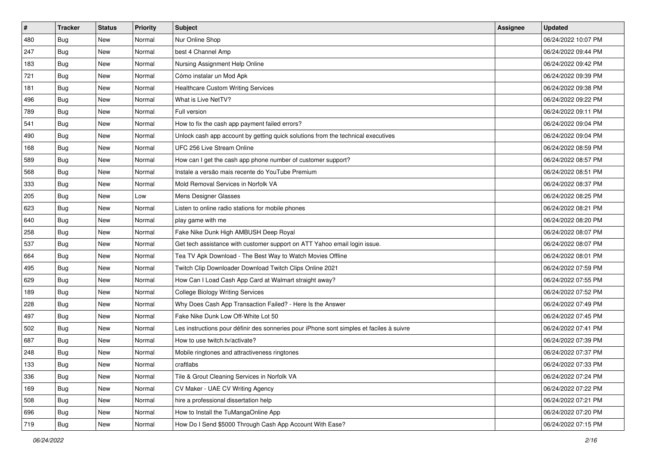| $\sharp$ | <b>Tracker</b> | <b>Status</b> | Priority | Subject                                                                                  | <b>Assignee</b> | <b>Updated</b>      |
|----------|----------------|---------------|----------|------------------------------------------------------------------------------------------|-----------------|---------------------|
| 480      | <b>Bug</b>     | New           | Normal   | Nur Online Shop                                                                          |                 | 06/24/2022 10:07 PM |
| 247      | <b>Bug</b>     | New           | Normal   | best 4 Channel Amp                                                                       |                 | 06/24/2022 09:44 PM |
| 183      | Bug            | New           | Normal   | Nursing Assignment Help Online                                                           |                 | 06/24/2022 09:42 PM |
| 721      | <b>Bug</b>     | New           | Normal   | Cómo instalar un Mod Apk                                                                 |                 | 06/24/2022 09:39 PM |
| 181      | Bug            | New           | Normal   | <b>Healthcare Custom Writing Services</b>                                                |                 | 06/24/2022 09:38 PM |
| 496      | <b>Bug</b>     | New           | Normal   | What is Live NetTV?                                                                      |                 | 06/24/2022 09:22 PM |
| 789      | Bug            | New           | Normal   | Full version                                                                             |                 | 06/24/2022 09:11 PM |
| 541      | <b>Bug</b>     | New           | Normal   | How to fix the cash app payment failed errors?                                           |                 | 06/24/2022 09:04 PM |
| 490      | Bug            | New           | Normal   | Unlock cash app account by getting quick solutions from the technical executives         |                 | 06/24/2022 09:04 PM |
| 168      | Bug            | New           | Normal   | UFC 256 Live Stream Online                                                               |                 | 06/24/2022 08:59 PM |
| 589      | <b>Bug</b>     | New           | Normal   | How can I get the cash app phone number of customer support?                             |                 | 06/24/2022 08:57 PM |
| 568      | Bug            | New           | Normal   | Instale a versão mais recente do YouTube Premium                                         |                 | 06/24/2022 08:51 PM |
| 333      | Bug            | New           | Normal   | Mold Removal Services in Norfolk VA                                                      |                 | 06/24/2022 08:37 PM |
| 205      | Bug            | New           | Low      | Mens Designer Glasses                                                                    |                 | 06/24/2022 08:25 PM |
| 623      | Bug            | New           | Normal   | Listen to online radio stations for mobile phones                                        |                 | 06/24/2022 08:21 PM |
| 640      | Bug            | New           | Normal   | play game with me                                                                        |                 | 06/24/2022 08:20 PM |
| 258      | Bug            | New           | Normal   | Fake Nike Dunk High AMBUSH Deep Royal                                                    |                 | 06/24/2022 08:07 PM |
| 537      | Bug            | New           | Normal   | Get tech assistance with customer support on ATT Yahoo email login issue.                |                 | 06/24/2022 08:07 PM |
| 664      | Bug            | New           | Normal   | Tea TV Apk Download - The Best Way to Watch Movies Offline                               |                 | 06/24/2022 08:01 PM |
| 495      | Bug            | New           | Normal   | Twitch Clip Downloader Download Twitch Clips Online 2021                                 |                 | 06/24/2022 07:59 PM |
| 629      | <b>Bug</b>     | New           | Normal   | How Can I Load Cash App Card at Walmart straight away?                                   |                 | 06/24/2022 07:55 PM |
| 189      | Bug            | New           | Normal   | <b>College Biology Writing Services</b>                                                  |                 | 06/24/2022 07:52 PM |
| 228      | Bug            | New           | Normal   | Why Does Cash App Transaction Failed? - Here Is the Answer                               |                 | 06/24/2022 07:49 PM |
| 497      | <b>Bug</b>     | New           | Normal   | Fake Nike Dunk Low Off-White Lot 50                                                      |                 | 06/24/2022 07:45 PM |
| 502      | Bug            | New           | Normal   | Les instructions pour définir des sonneries pour iPhone sont simples et faciles à suivre |                 | 06/24/2022 07:41 PM |
| 687      | Bug            | New           | Normal   | How to use twitch.tv/activate?                                                           |                 | 06/24/2022 07:39 PM |
| 248      | <b>Bug</b>     | New           | Normal   | Mobile ringtones and attractiveness ringtones                                            |                 | 06/24/2022 07:37 PM |
| 133      | i Bug          | New           | Normal   | craftlabs                                                                                |                 | 06/24/2022 07:33 PM |
| 336      | <b>Bug</b>     | New           | Normal   | Tile & Grout Cleaning Services in Norfolk VA                                             |                 | 06/24/2022 07:24 PM |
| 169      | <b>Bug</b>     | New           | Normal   | CV Maker - UAE CV Writing Agency                                                         |                 | 06/24/2022 07:22 PM |
| 508      | <b>Bug</b>     | New           | Normal   | hire a professional dissertation help                                                    |                 | 06/24/2022 07:21 PM |
| 696      | <b>Bug</b>     | New           | Normal   | How to Install the TuMangaOnline App                                                     |                 | 06/24/2022 07:20 PM |
| 719      | <b>Bug</b>     | New           | Normal   | How Do I Send \$5000 Through Cash App Account With Ease?                                 |                 | 06/24/2022 07:15 PM |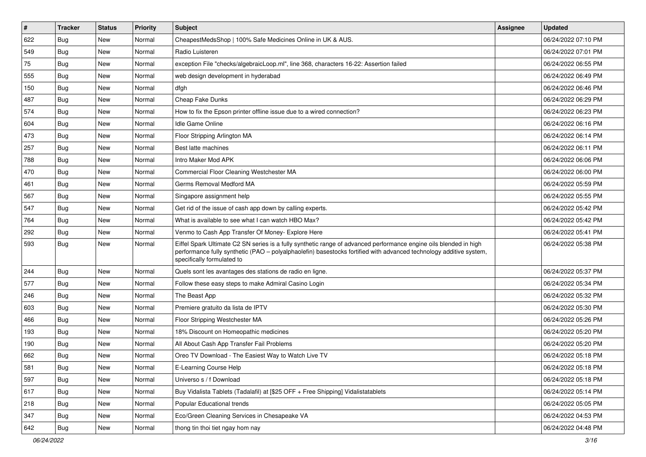| #   | <b>Tracker</b> | <b>Status</b> | <b>Priority</b> | <b>Subject</b>                                                                                                                                                                                                                                                        | Assignee | <b>Updated</b>      |
|-----|----------------|---------------|-----------------|-----------------------------------------------------------------------------------------------------------------------------------------------------------------------------------------------------------------------------------------------------------------------|----------|---------------------|
| 622 | <b>Bug</b>     | New           | Normal          | CheapestMedsShop   100% Safe Medicines Online in UK & AUS.                                                                                                                                                                                                            |          | 06/24/2022 07:10 PM |
| 549 | Bug            | New           | Normal          | Radio Luisteren                                                                                                                                                                                                                                                       |          | 06/24/2022 07:01 PM |
| 75  | <b>Bug</b>     | New           | Normal          | exception File "checks/algebraicLoop.ml", line 368, characters 16-22: Assertion failed                                                                                                                                                                                |          | 06/24/2022 06:55 PM |
| 555 | <b>Bug</b>     | New           | Normal          | web design development in hyderabad                                                                                                                                                                                                                                   |          | 06/24/2022 06:49 PM |
| 150 | Bug            | New           | Normal          | dfgh                                                                                                                                                                                                                                                                  |          | 06/24/2022 06:46 PM |
| 487 | <b>Bug</b>     | New           | Normal          | Cheap Fake Dunks                                                                                                                                                                                                                                                      |          | 06/24/2022 06:29 PM |
| 574 | <b>Bug</b>     | New           | Normal          | How to fix the Epson printer offline issue due to a wired connection?                                                                                                                                                                                                 |          | 06/24/2022 06:23 PM |
| 604 | Bug            | New           | Normal          | Idle Game Online                                                                                                                                                                                                                                                      |          | 06/24/2022 06:16 PM |
| 473 | Bug            | New           | Normal          | Floor Stripping Arlington MA                                                                                                                                                                                                                                          |          | 06/24/2022 06:14 PM |
| 257 | Bug            | New           | Normal          | Best latte machines                                                                                                                                                                                                                                                   |          | 06/24/2022 06:11 PM |
| 788 | <b>Bug</b>     | New           | Normal          | Intro Maker Mod APK                                                                                                                                                                                                                                                   |          | 06/24/2022 06:06 PM |
| 470 | <b>Bug</b>     | New           | Normal          | Commercial Floor Cleaning Westchester MA                                                                                                                                                                                                                              |          | 06/24/2022 06:00 PM |
| 461 | Bug            | <b>New</b>    | Normal          | Germs Removal Medford MA                                                                                                                                                                                                                                              |          | 06/24/2022 05:59 PM |
| 567 | <b>Bug</b>     | New           | Normal          | Singapore assignment help                                                                                                                                                                                                                                             |          | 06/24/2022 05:55 PM |
| 547 | <b>Bug</b>     | New           | Normal          | Get rid of the issue of cash app down by calling experts.                                                                                                                                                                                                             |          | 06/24/2022 05:42 PM |
| 764 | Bug            | New           | Normal          | What is available to see what I can watch HBO Max?                                                                                                                                                                                                                    |          | 06/24/2022 05:42 PM |
| 292 | <b>Bug</b>     | New           | Normal          | Venmo to Cash App Transfer Of Money- Explore Here                                                                                                                                                                                                                     |          | 06/24/2022 05:41 PM |
| 593 | <b>Bug</b>     | New           | Normal          | Eiffel Spark Ultimate C2 SN series is a fully synthetic range of advanced performance engine oils blended in high<br>performance fully synthetic (PAO - polyalphaolefin) basestocks fortified with advanced technology additive system,<br>specifically formulated to |          | 06/24/2022 05:38 PM |
| 244 | Bug            | <b>New</b>    | Normal          | Quels sont les avantages des stations de radio en ligne.                                                                                                                                                                                                              |          | 06/24/2022 05:37 PM |
| 577 | Bug            | New           | Normal          | Follow these easy steps to make Admiral Casino Login                                                                                                                                                                                                                  |          | 06/24/2022 05:34 PM |
| 246 | <b>Bug</b>     | New           | Normal          | The Beast App                                                                                                                                                                                                                                                         |          | 06/24/2022 05:32 PM |
| 603 | <b>Bug</b>     | New           | Normal          | Premiere gratuito da lista de IPTV                                                                                                                                                                                                                                    |          | 06/24/2022 05:30 PM |
| 466 | <b>Bug</b>     | New           | Normal          | Floor Stripping Westchester MA                                                                                                                                                                                                                                        |          | 06/24/2022 05:26 PM |
| 193 | <b>Bug</b>     | New           | Normal          | 18% Discount on Homeopathic medicines                                                                                                                                                                                                                                 |          | 06/24/2022 05:20 PM |
| 190 | <b>Bug</b>     | New           | Normal          | All About Cash App Transfer Fail Problems                                                                                                                                                                                                                             |          | 06/24/2022 05:20 PM |
| 662 | Bug            | New           | Normal          | Oreo TV Download - The Easiest Way to Watch Live TV                                                                                                                                                                                                                   |          | 06/24/2022 05:18 PM |
| 581 | Bug            | New           | Normal          | E-Learning Course Help                                                                                                                                                                                                                                                |          | 06/24/2022 05:18 PM |
| 597 | Bug            | New           | Normal          | Universo s / f Download                                                                                                                                                                                                                                               |          | 06/24/2022 05:18 PM |
| 617 | <b>Bug</b>     | New           | Normal          | Buy Vidalista Tablets (Tadalafil) at [\$25 OFF + Free Shipping] Vidalistatablets                                                                                                                                                                                      |          | 06/24/2022 05:14 PM |
| 218 | Bug            | New           | Normal          | Popular Educational trends                                                                                                                                                                                                                                            |          | 06/24/2022 05:05 PM |
| 347 | <b>Bug</b>     | New           | Normal          | Eco/Green Cleaning Services in Chesapeake VA                                                                                                                                                                                                                          |          | 06/24/2022 04:53 PM |
| 642 | Bug            | New           | Normal          | thong tin thoi tiet ngay hom nay                                                                                                                                                                                                                                      |          | 06/24/2022 04:48 PM |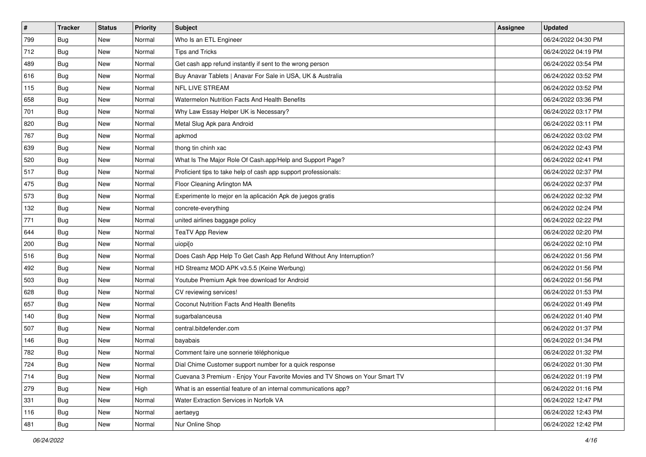| $\sharp$ | <b>Tracker</b> | <b>Status</b> | Priority | Subject                                                                      | <b>Assignee</b> | <b>Updated</b>      |
|----------|----------------|---------------|----------|------------------------------------------------------------------------------|-----------------|---------------------|
| 799      | <b>Bug</b>     | New           | Normal   | Who Is an ETL Engineer                                                       |                 | 06/24/2022 04:30 PM |
| 712      | <b>Bug</b>     | New           | Normal   | <b>Tips and Tricks</b>                                                       |                 | 06/24/2022 04:19 PM |
| 489      | Bug            | New           | Normal   | Get cash app refund instantly if sent to the wrong person                    |                 | 06/24/2022 03:54 PM |
| 616      | Bug            | New           | Normal   | Buy Anavar Tablets   Anavar For Sale in USA, UK & Australia                  |                 | 06/24/2022 03:52 PM |
| 115      | Bug            | New           | Normal   | NFL LIVE STREAM                                                              |                 | 06/24/2022 03:52 PM |
| 658      | <b>Bug</b>     | New           | Normal   | Watermelon Nutrition Facts And Health Benefits                               |                 | 06/24/2022 03:36 PM |
| 701      | Bug            | New           | Normal   | Why Law Essay Helper UK is Necessary?                                        |                 | 06/24/2022 03:17 PM |
| 820      | <b>Bug</b>     | New           | Normal   | Metal Slug Apk para Android                                                  |                 | 06/24/2022 03:11 PM |
| 767      | Bug            | New           | Normal   | apkmod                                                                       |                 | 06/24/2022 03:02 PM |
| 639      | Bug            | New           | Normal   | thong tin chinh xac                                                          |                 | 06/24/2022 02:43 PM |
| 520      | <b>Bug</b>     | New           | Normal   | What Is The Major Role Of Cash.app/Help and Support Page?                    |                 | 06/24/2022 02:41 PM |
| 517      | Bug            | New           | Normal   | Proficient tips to take help of cash app support professionals:              |                 | 06/24/2022 02:37 PM |
| 475      | Bug            | New           | Normal   | Floor Cleaning Arlington MA                                                  |                 | 06/24/2022 02:37 PM |
| 573      | Bug            | New           | Normal   | Experimente lo mejor en la aplicación Apk de juegos gratis                   |                 | 06/24/2022 02:32 PM |
| 132      | <b>Bug</b>     | New           | Normal   | concrete-everything                                                          |                 | 06/24/2022 02:24 PM |
| 771      | Bug            | New           | Normal   | united airlines baggage policy                                               |                 | 06/24/2022 02:22 PM |
| 644      | Bug            | New           | Normal   | <b>TeaTV App Review</b>                                                      |                 | 06/24/2022 02:20 PM |
| 200      | Bug            | New           | Normal   | uiopi[o                                                                      |                 | 06/24/2022 02:10 PM |
| 516      | Bug            | New           | Normal   | Does Cash App Help To Get Cash App Refund Without Any Interruption?          |                 | 06/24/2022 01:56 PM |
| 492      | Bug            | New           | Normal   | HD Streamz MOD APK v3.5.5 (Keine Werbung)                                    |                 | 06/24/2022 01:56 PM |
| 503      | <b>Bug</b>     | New           | Normal   | Youtube Premium Apk free download for Android                                |                 | 06/24/2022 01:56 PM |
| 628      | Bug            | New           | Normal   | CV reviewing services!                                                       |                 | 06/24/2022 01:53 PM |
| 657      | Bug            | New           | Normal   | Coconut Nutrition Facts And Health Benefits                                  |                 | 06/24/2022 01:49 PM |
| 140      | <b>Bug</b>     | New           | Normal   | sugarbalanceusa                                                              |                 | 06/24/2022 01:40 PM |
| 507      | Bug            | New           | Normal   | central.bitdefender.com                                                      |                 | 06/24/2022 01:37 PM |
| 146      | Bug            | New           | Normal   | bayabais                                                                     |                 | 06/24/2022 01:34 PM |
| 782      | <b>Bug</b>     | New           | Normal   | Comment faire une sonnerie téléphonique                                      |                 | 06/24/2022 01:32 PM |
| 724      | <b>Bug</b>     | New           | Normal   | Dial Chime Customer support number for a quick response                      |                 | 06/24/2022 01:30 PM |
| 714      | <b>Bug</b>     | New           | Normal   | Cuevana 3 Premium - Enjoy Your Favorite Movies and TV Shows on Your Smart TV |                 | 06/24/2022 01:19 PM |
| 279      | <b>Bug</b>     | New           | High     | What is an essential feature of an internal communications app?              |                 | 06/24/2022 01:16 PM |
| 331      | <b>Bug</b>     | New           | Normal   | Water Extraction Services in Norfolk VA                                      |                 | 06/24/2022 12:47 PM |
| 116      | Bug            | New           | Normal   | aertaeyg                                                                     |                 | 06/24/2022 12:43 PM |
| 481      | <b>Bug</b>     | New           | Normal   | Nur Online Shop                                                              |                 | 06/24/2022 12:42 PM |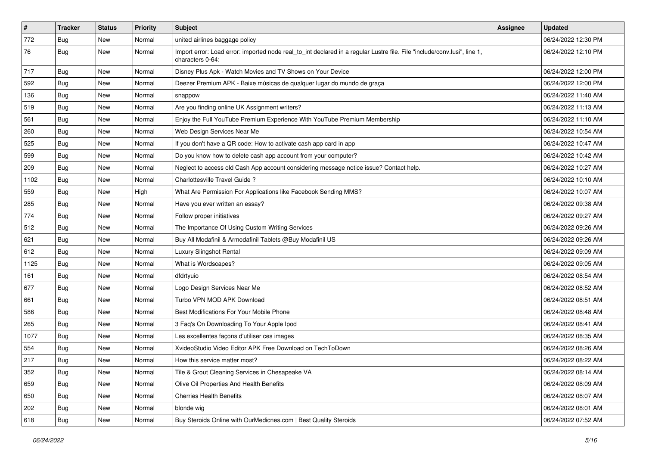| $\vert$ # | <b>Tracker</b> | <b>Status</b> | <b>Priority</b> | <b>Subject</b>                                                                                                                               | Assignee | <b>Updated</b>      |
|-----------|----------------|---------------|-----------------|----------------------------------------------------------------------------------------------------------------------------------------------|----------|---------------------|
| 772       | <b>Bug</b>     | New           | Normal          | united airlines baggage policy                                                                                                               |          | 06/24/2022 12:30 PM |
| 76        | <b>Bug</b>     | New           | Normal          | Import error: Load error: imported node real_to_int declared in a regular Lustre file. File "include/conv.lusi", line 1,<br>characters 0-64: |          | 06/24/2022 12:10 PM |
| 717       | <b>Bug</b>     | New           | Normal          | Disney Plus Apk - Watch Movies and TV Shows on Your Device                                                                                   |          | 06/24/2022 12:00 PM |
| 592       | Bug            | <b>New</b>    | Normal          | Deezer Premium APK - Baixe músicas de qualquer lugar do mundo de graça                                                                       |          | 06/24/2022 12:00 PM |
| 136       | <b>Bug</b>     | New           | Normal          | snappow                                                                                                                                      |          | 06/24/2022 11:40 AM |
| 519       | Bug            | New           | Normal          | Are you finding online UK Assignment writers?                                                                                                |          | 06/24/2022 11:13 AM |
| 561       | <b>Bug</b>     | New           | Normal          | Enjoy the Full YouTube Premium Experience With YouTube Premium Membership                                                                    |          | 06/24/2022 11:10 AM |
| 260       | Bug            | New           | Normal          | Web Design Services Near Me                                                                                                                  |          | 06/24/2022 10:54 AM |
| 525       | Bug            | New           | Normal          | If you don't have a QR code: How to activate cash app card in app                                                                            |          | 06/24/2022 10:47 AM |
| 599       | <b>Bug</b>     | New           | Normal          | Do you know how to delete cash app account from your computer?                                                                               |          | 06/24/2022 10:42 AM |
| 209       | <b>Bug</b>     | New           | Normal          | Neglect to access old Cash App account considering message notice issue? Contact help.                                                       |          | 06/24/2022 10:27 AM |
| 1102      | Bug            | <b>New</b>    | Normal          | Charlottesville Travel Guide?                                                                                                                |          | 06/24/2022 10:10 AM |
| 559       | Bug            | New           | High            | What Are Permission For Applications like Facebook Sending MMS?                                                                              |          | 06/24/2022 10:07 AM |
| 285       | <b>Bug</b>     | New           | Normal          | Have you ever written an essay?                                                                                                              |          | 06/24/2022 09:38 AM |
| 774       | <b>Bug</b>     | New           | Normal          | Follow proper initiatives                                                                                                                    |          | 06/24/2022 09:27 AM |
| 512       | <b>Bug</b>     | New           | Normal          | The Importance Of Using Custom Writing Services                                                                                              |          | 06/24/2022 09:26 AM |
| 621       | Bug            | <b>New</b>    | Normal          | Buy All Modafinil & Armodafinil Tablets @Buy Modafinil US                                                                                    |          | 06/24/2022 09:26 AM |
| 612       | Bug            | New           | Normal          | Luxury Slingshot Rental                                                                                                                      |          | 06/24/2022 09:09 AM |
| 1125      | <b>Bug</b>     | New           | Normal          | What is Wordscapes?                                                                                                                          |          | 06/24/2022 09:05 AM |
| 161       | Bug            | New           | Normal          | dfdrtyuio                                                                                                                                    |          | 06/24/2022 08:54 AM |
| 677       | <b>Bug</b>     | New           | Normal          | Logo Design Services Near Me                                                                                                                 |          | 06/24/2022 08:52 AM |
| 661       | Bug            | New           | Normal          | Turbo VPN MOD APK Download                                                                                                                   |          | 06/24/2022 08:51 AM |
| 586       | <b>Bug</b>     | New           | Normal          | Best Modifications For Your Mobile Phone                                                                                                     |          | 06/24/2022 08:48 AM |
| 265       | <b>Bug</b>     | New           | Normal          | 3 Faq's On Downloading To Your Apple Ipod                                                                                                    |          | 06/24/2022 08:41 AM |
| 1077      | Bug            | <b>New</b>    | Normal          | Les excellentes façons d'utiliser ces images                                                                                                 |          | 06/24/2022 08:35 AM |
| 554       | Bug            | New           | Normal          | XvideoStudio Video Editor APK Free Download on TechToDown                                                                                    |          | 06/24/2022 08:26 AM |
| 217       | <b>Bug</b>     | New           | Normal          | How this service matter most?                                                                                                                |          | 06/24/2022 08:22 AM |
| 352       | Bug            | New           | Normal          | Tile & Grout Cleaning Services in Chesapeake VA                                                                                              |          | 06/24/2022 08:14 AM |
| 659       | <b>Bug</b>     | New           | Normal          | Olive Oil Properties And Health Benefits                                                                                                     |          | 06/24/2022 08:09 AM |
| 650       | Bug            | New           | Normal          | <b>Cherries Health Benefits</b>                                                                                                              |          | 06/24/2022 08:07 AM |
| 202       | <b>Bug</b>     | New           | Normal          | blonde wig                                                                                                                                   |          | 06/24/2022 08:01 AM |
| 618       | <b>Bug</b>     | New           | Normal          | Buy Steroids Online with OurMedicnes.com   Best Quality Steroids                                                                             |          | 06/24/2022 07:52 AM |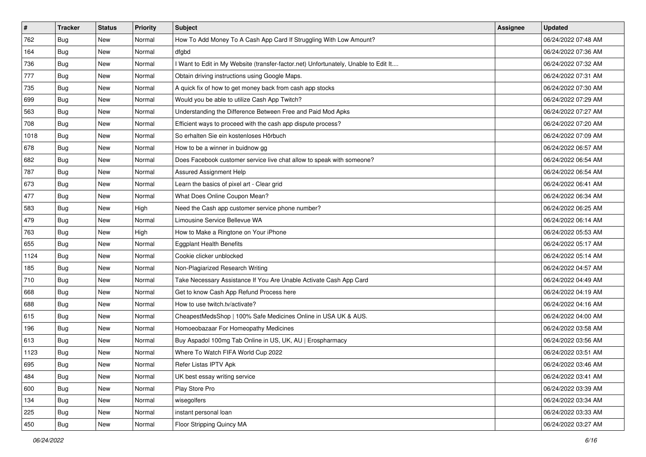| #    | <b>Tracker</b> | <b>Status</b> | <b>Priority</b> | <b>Subject</b>                                                                      | Assignee | <b>Updated</b>      |
|------|----------------|---------------|-----------------|-------------------------------------------------------------------------------------|----------|---------------------|
| 762  | <b>Bug</b>     | New           | Normal          | How To Add Money To A Cash App Card If Struggling With Low Amount?                  |          | 06/24/2022 07:48 AM |
| 164  | Bug            | New           | Normal          | dfgbd                                                                               |          | 06/24/2022 07:36 AM |
| 736  | <b>Bug</b>     | New           | Normal          | I Want to Edit in My Website (transfer-factor.net) Unfortunately, Unable to Edit It |          | 06/24/2022 07:32 AM |
| 777  | <b>Bug</b>     | New           | Normal          | Obtain driving instructions using Google Maps.                                      |          | 06/24/2022 07:31 AM |
| 735  | Bug            | New           | Normal          | A quick fix of how to get money back from cash app stocks                           |          | 06/24/2022 07:30 AM |
| 699  | <b>Bug</b>     | New           | Normal          | Would you be able to utilize Cash App Twitch?                                       |          | 06/24/2022 07:29 AM |
| 563  | <b>Bug</b>     | New           | Normal          | Understanding the Difference Between Free and Paid Mod Apks                         |          | 06/24/2022 07:27 AM |
| 708  | Bug            | New           | Normal          | Efficient ways to proceed with the cash app dispute process?                        |          | 06/24/2022 07:20 AM |
| 1018 | Bug            | New           | Normal          | So erhalten Sie ein kostenloses Hörbuch                                             |          | 06/24/2022 07:09 AM |
| 678  | Bug            | New           | Normal          | How to be a winner in buidnow gg                                                    |          | 06/24/2022 06:57 AM |
| 682  | <b>Bug</b>     | New           | Normal          | Does Facebook customer service live chat allow to speak with someone?               |          | 06/24/2022 06:54 AM |
| 787  | Bug            | New           | Normal          | Assured Assignment Help                                                             |          | 06/24/2022 06:54 AM |
| 673  | Bug            | New           | Normal          | Learn the basics of pixel art - Clear grid                                          |          | 06/24/2022 06:41 AM |
| 477  | <b>Bug</b>     | New           | Normal          | What Does Online Coupon Mean?                                                       |          | 06/24/2022 06:34 AM |
| 583  | <b>Bug</b>     | New           | High            | Need the Cash app customer service phone number?                                    |          | 06/24/2022 06:25 AM |
| 479  | Bug            | New           | Normal          | Limousine Service Bellevue WA                                                       |          | 06/24/2022 06:14 AM |
| 763  | <b>Bug</b>     | New           | High            | How to Make a Ringtone on Your iPhone                                               |          | 06/24/2022 05:53 AM |
| 655  | Bug            | <b>New</b>    | Normal          | <b>Eggplant Health Benefits</b>                                                     |          | 06/24/2022 05:17 AM |
| 1124 | <b>Bug</b>     | New           | Normal          | Cookie clicker unblocked                                                            |          | 06/24/2022 05:14 AM |
| 185  | Bug            | New           | Normal          | Non-Plagiarized Research Writing                                                    |          | 06/24/2022 04:57 AM |
| 710  | <b>Bug</b>     | New           | Normal          | Take Necessary Assistance If You Are Unable Activate Cash App Card                  |          | 06/24/2022 04:49 AM |
| 668  | Bug            | New           | Normal          | Get to know Cash App Refund Process here                                            |          | 06/24/2022 04:19 AM |
| 688  | Bug            | New           | Normal          | How to use twitch.tv/activate?                                                      |          | 06/24/2022 04:16 AM |
| 615  | <b>Bug</b>     | New           | Normal          | CheapestMedsShop   100% Safe Medicines Online in USA UK & AUS.                      |          | 06/24/2022 04:00 AM |
| 196  | Bug            | New           | Normal          | Homoeobazaar For Homeopathy Medicines                                               |          | 06/24/2022 03:58 AM |
| 613  | Bug            | New           | Normal          | Buy Aspadol 100mg Tab Online in US, UK, AU   Erospharmacy                           |          | 06/24/2022 03:56 AM |
| 1123 | Bug            | New           | Normal          | Where To Watch FIFA World Cup 2022                                                  |          | 06/24/2022 03:51 AM |
| 695  | <b>Bug</b>     | New           | Normal          | Refer Listas IPTV Apk                                                               |          | 06/24/2022 03:46 AM |
| 484  | Bug            | New           | Normal          | UK best essay writing service                                                       |          | 06/24/2022 03:41 AM |
| 600  | <b>Bug</b>     | New           | Normal          | Play Store Pro                                                                      |          | 06/24/2022 03:39 AM |
| 134  | Bug            | New           | Normal          | wisegolfers                                                                         |          | 06/24/2022 03:34 AM |
| 225  | <b>Bug</b>     | New           | Normal          | instant personal loan                                                               |          | 06/24/2022 03:33 AM |
| 450  | Bug            | New           | Normal          | Floor Stripping Quincy MA                                                           |          | 06/24/2022 03:27 AM |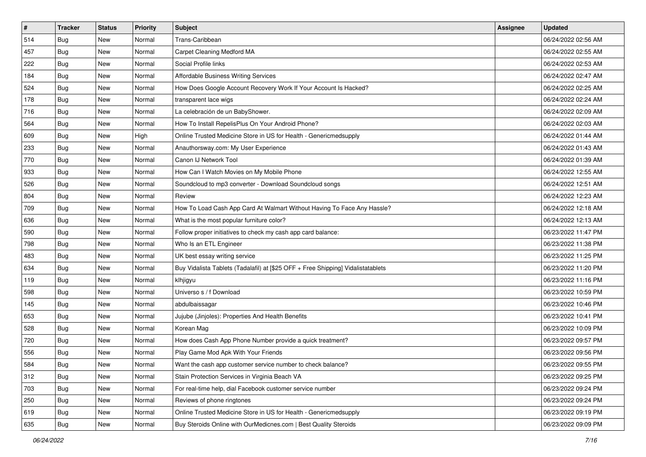| #   | <b>Tracker</b> | <b>Status</b> | <b>Priority</b> | Subject                                                                          | <b>Assignee</b> | <b>Updated</b>      |
|-----|----------------|---------------|-----------------|----------------------------------------------------------------------------------|-----------------|---------------------|
| 514 | Bug            | New           | Normal          | Trans-Caribbean                                                                  |                 | 06/24/2022 02:56 AM |
| 457 | <b>Bug</b>     | New           | Normal          | Carpet Cleaning Medford MA                                                       |                 | 06/24/2022 02:55 AM |
| 222 | <b>Bug</b>     | New           | Normal          | Social Profile links                                                             |                 | 06/24/2022 02:53 AM |
| 184 | <b>Bug</b>     | New           | Normal          | <b>Affordable Business Writing Services</b>                                      |                 | 06/24/2022 02:47 AM |
| 524 | Bug            | <b>New</b>    | Normal          | How Does Google Account Recovery Work If Your Account Is Hacked?                 |                 | 06/24/2022 02:25 AM |
| 178 | Bug            | New           | Normal          | transparent lace wigs                                                            |                 | 06/24/2022 02:24 AM |
| 716 | Bug            | New           | Normal          | La celebración de un BabyShower.                                                 |                 | 06/24/2022 02:09 AM |
| 564 | <b>Bug</b>     | New           | Normal          | How To Install RepelisPlus On Your Android Phone?                                |                 | 06/24/2022 02:03 AM |
| 609 | <b>Bug</b>     | New           | High            | Online Trusted Medicine Store in US for Health - Genericmedsupply                |                 | 06/24/2022 01:44 AM |
| 233 | Bug            | New           | Normal          | Anauthorsway.com: My User Experience                                             |                 | 06/24/2022 01:43 AM |
| 770 | <b>Bug</b>     | New           | Normal          | Canon IJ Network Tool                                                            |                 | 06/24/2022 01:39 AM |
| 933 | Bug            | New           | Normal          | How Can I Watch Movies on My Mobile Phone                                        |                 | 06/24/2022 12:55 AM |
| 526 | Bug            | New           | Normal          | Soundcloud to mp3 converter - Download Soundcloud songs                          |                 | 06/24/2022 12:51 AM |
| 804 | <b>Bug</b>     | New           | Normal          | Review                                                                           |                 | 06/24/2022 12:23 AM |
| 709 | <b>Bug</b>     | New           | Normal          | How To Load Cash App Card At Walmart Without Having To Face Any Hassle?          |                 | 06/24/2022 12:18 AM |
| 636 | Bug            | New           | Normal          | What is the most popular furniture color?                                        |                 | 06/24/2022 12:13 AM |
| 590 | <b>Bug</b>     | New           | Normal          | Follow proper initiatives to check my cash app card balance:                     |                 | 06/23/2022 11:47 PM |
| 798 | <b>Bug</b>     | New           | Normal          | Who Is an ETL Engineer                                                           |                 | 06/23/2022 11:38 PM |
| 483 | <b>Bug</b>     | New           | Normal          | UK best essay writing service                                                    |                 | 06/23/2022 11:25 PM |
| 634 | <b>Bug</b>     | New           | Normal          | Buy Vidalista Tablets (Tadalafil) at [\$25 OFF + Free Shipping] Vidalistatablets |                 | 06/23/2022 11:20 PM |
| 119 | <b>Bug</b>     | New           | Normal          | klhjigyu                                                                         |                 | 06/23/2022 11:16 PM |
| 598 | Bug            | New           | Normal          | Universo s / f Download                                                          |                 | 06/23/2022 10:59 PM |
| 145 | Bug            | <b>New</b>    | Normal          | abdulbaissagar                                                                   |                 | 06/23/2022 10:46 PM |
| 653 | <b>Bug</b>     | New           | Normal          | Jujube (Jinjoles): Properties And Health Benefits                                |                 | 06/23/2022 10:41 PM |
| 528 | Bug            | New           | Normal          | Korean Mag                                                                       |                 | 06/23/2022 10:09 PM |
| 720 | Bug            | New           | Normal          | How does Cash App Phone Number provide a quick treatment?                        |                 | 06/23/2022 09:57 PM |
| 556 | <b>Bug</b>     | New           | Normal          | Play Game Mod Apk With Your Friends                                              |                 | 06/23/2022 09:56 PM |
| 584 | I Bug          | New           | Normal          | Want the cash app customer service number to check balance?                      |                 | 06/23/2022 09:55 PM |
| 312 | <b>Bug</b>     | New           | Normal          | Stain Protection Services in Virginia Beach VA                                   |                 | 06/23/2022 09:25 PM |
| 703 | <b>Bug</b>     | New           | Normal          | For real-time help, dial Facebook customer service number                        |                 | 06/23/2022 09:24 PM |
| 250 | <b>Bug</b>     | New           | Normal          | Reviews of phone ringtones                                                       |                 | 06/23/2022 09:24 PM |
| 619 | <b>Bug</b>     | New           | Normal          | Online Trusted Medicine Store in US for Health - Genericmedsupply                |                 | 06/23/2022 09:19 PM |
| 635 | <b>Bug</b>     | New           | Normal          | Buy Steroids Online with OurMedicnes.com   Best Quality Steroids                 |                 | 06/23/2022 09:09 PM |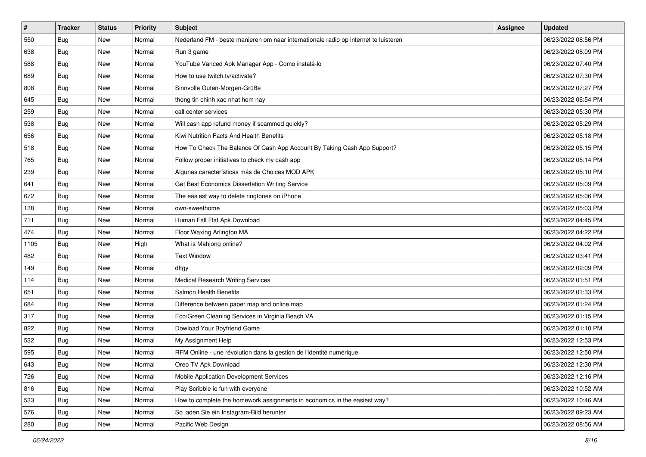| $\vert$ # | <b>Tracker</b> | <b>Status</b> | Priority | <b>Subject</b>                                                                      | Assignee | <b>Updated</b>      |
|-----------|----------------|---------------|----------|-------------------------------------------------------------------------------------|----------|---------------------|
| 550       | <b>Bug</b>     | New           | Normal   | Nederland FM - beste manieren om naar internationale radio op internet te luisteren |          | 06/23/2022 08:56 PM |
| 638       | Bug            | New           | Normal   | Run 3 game                                                                          |          | 06/23/2022 08:09 PM |
| 588       | Bug            | New           | Normal   | YouTube Vanced Apk Manager App - Como instalá-lo                                    |          | 06/23/2022 07:40 PM |
| 689       | Bug            | New           | Normal   | How to use twitch.tv/activate?                                                      |          | 06/23/2022 07:30 PM |
| 808       | <b>Bug</b>     | New           | Normal   | Sinnvolle Guten-Morgen-Grüße                                                        |          | 06/23/2022 07:27 PM |
| 645       | Bug            | New           | Normal   | thong tin chinh xac nhat hom nay                                                    |          | 06/23/2022 06:54 PM |
| 259       | <b>Bug</b>     | New           | Normal   | call center services                                                                |          | 06/23/2022 05:30 PM |
| 538       | Bug            | New           | Normal   | Will cash app refund money if scammed quickly?                                      |          | 06/23/2022 05:29 PM |
| 656       | Bug            | New           | Normal   | Kiwi Nutrition Facts And Health Benefits                                            |          | 06/23/2022 05:18 PM |
| 518       | Bug            | New           | Normal   | How To Check The Balance Of Cash App Account By Taking Cash App Support?            |          | 06/23/2022 05:15 PM |
| 765       | <b>Bug</b>     | New           | Normal   | Follow proper initiatives to check my cash app                                      |          | 06/23/2022 05:14 PM |
| 239       | <b>Bug</b>     | New           | Normal   | Algunas características más de Choices MOD APK                                      |          | 06/23/2022 05:10 PM |
| 641       | Bug            | New           | Normal   | Get Best Economics Dissertation Writing Service                                     |          | 06/23/2022 05:09 PM |
| 672       | <b>Bug</b>     | New           | Normal   | The easiest way to delete ringtones on iPhone                                       |          | 06/23/2022 05:06 PM |
| 138       | Bug            | New           | Normal   | own-sweethome                                                                       |          | 06/23/2022 05:03 PM |
| 711       | Bug            | New           | Normal   | Human Fall Flat Apk Download                                                        |          | 06/23/2022 04:45 PM |
| 474       | Bug            | New           | Normal   | Floor Waxing Arlington MA                                                           |          | 06/23/2022 04:22 PM |
| 1105      | Bug            | New           | High     | What is Mahjong online?                                                             |          | 06/23/2022 04:02 PM |
| 482       | <b>Bug</b>     | New           | Normal   | <b>Text Window</b>                                                                  |          | 06/23/2022 03:41 PM |
| 149       | <b>Bug</b>     | New           | Normal   | dftgy                                                                               |          | 06/23/2022 02:09 PM |
| 114       | Bug            | New           | Normal   | <b>Medical Research Writing Services</b>                                            |          | 06/23/2022 01:51 PM |
| 651       | <b>Bug</b>     | New           | Normal   | Salmon Health Benefits                                                              |          | 06/23/2022 01:33 PM |
| 684       | <b>Bug</b>     | New           | Normal   | Difference between paper map and online map                                         |          | 06/23/2022 01:24 PM |
| 317       | <b>Bug</b>     | New           | Normal   | Eco/Green Cleaning Services in Virginia Beach VA                                    |          | 06/23/2022 01:15 PM |
| 822       | Bug            | New           | Normal   | Dowload Your Boyfriend Game                                                         |          | 06/23/2022 01:10 PM |
| 532       | Bug            | New           | Normal   | My Assignment Help                                                                  |          | 06/23/2022 12:53 PM |
| 595       | <b>Bug</b>     | New           | Normal   | RFM Online - une révolution dans la gestion de l'identité numérique                 |          | 06/23/2022 12:50 PM |
| 643       | <b>Bug</b>     | New           | Normal   | Oreo TV Apk Download                                                                |          | 06/23/2022 12:30 PM |
| 726       | Bug            | New           | Normal   | Mobile Application Development Services                                             |          | 06/23/2022 12:16 PM |
| 816       | <b>Bug</b>     | New           | Normal   | Play Scribble io fun with everyone                                                  |          | 06/23/2022 10:52 AM |
| 533       | <b>Bug</b>     | New           | Normal   | How to complete the homework assignments in economics in the easiest way?           |          | 06/23/2022 10:46 AM |
| 576       | <b>Bug</b>     | New           | Normal   | So laden Sie ein Instagram-Bild herunter                                            |          | 06/23/2022 09:23 AM |
| 280       | <b>Bug</b>     | New           | Normal   | Pacific Web Design                                                                  |          | 06/23/2022 08:56 AM |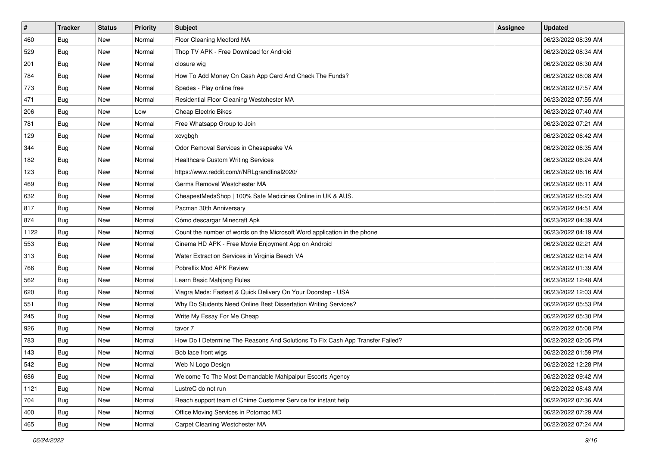| $\sharp$ | <b>Tracker</b> | <b>Status</b> | Priority | Subject                                                                       | <b>Assignee</b> | <b>Updated</b>      |
|----------|----------------|---------------|----------|-------------------------------------------------------------------------------|-----------------|---------------------|
| 460      | Bug            | New           | Normal   | Floor Cleaning Medford MA                                                     |                 | 06/23/2022 08:39 AM |
| 529      | Bug            | New           | Normal   | Thop TV APK - Free Download for Android                                       |                 | 06/23/2022 08:34 AM |
| 201      | Bug            | New           | Normal   | closure wig                                                                   |                 | 06/23/2022 08:30 AM |
| 784      | Bug            | New           | Normal   | How To Add Money On Cash App Card And Check The Funds?                        |                 | 06/23/2022 08:08 AM |
| 773      | Bug            | New           | Normal   | Spades - Play online free                                                     |                 | 06/23/2022 07:57 AM |
| 471      | <b>Bug</b>     | New           | Normal   | Residential Floor Cleaning Westchester MA                                     |                 | 06/23/2022 07:55 AM |
| 206      | Bug            | New           | Low      | <b>Cheap Electric Bikes</b>                                                   |                 | 06/23/2022 07:40 AM |
| 781      | <b>Bug</b>     | New           | Normal   | Free Whatsapp Group to Join                                                   |                 | 06/23/2022 07:21 AM |
| 129      | Bug            | New           | Normal   | xcvgbgh                                                                       |                 | 06/23/2022 06:42 AM |
| 344      | Bug            | New           | Normal   | Odor Removal Services in Chesapeake VA                                        |                 | 06/23/2022 06:35 AM |
| 182      | <b>Bug</b>     | New           | Normal   | <b>Healthcare Custom Writing Services</b>                                     |                 | 06/23/2022 06:24 AM |
| 123      | Bug            | New           | Normal   | https://www.reddit.com/r/NRLgrandfinal2020/                                   |                 | 06/23/2022 06:16 AM |
| 469      | Bug            | New           | Normal   | Germs Removal Westchester MA                                                  |                 | 06/23/2022 06:11 AM |
| 632      | Bug            | New           | Normal   | CheapestMedsShop   100% Safe Medicines Online in UK & AUS.                    |                 | 06/23/2022 05:23 AM |
| 817      | Bug            | New           | Normal   | Pacman 30th Anniversary                                                       |                 | 06/23/2022 04:51 AM |
| 874      | Bug            | New           | Normal   | Cómo descargar Minecraft Apk                                                  |                 | 06/23/2022 04:39 AM |
| 1122     | Bug            | New           | Normal   | Count the number of words on the Microsoft Word application in the phone      |                 | 06/23/2022 04:19 AM |
| 553      | Bug            | New           | Normal   | Cinema HD APK - Free Movie Enjoyment App on Android                           |                 | 06/23/2022 02:21 AM |
| 313      | Bug            | New           | Normal   | Water Extraction Services in Virginia Beach VA                                |                 | 06/23/2022 02:14 AM |
| 766      | Bug            | New           | Normal   | Pobreflix Mod APK Review                                                      |                 | 06/23/2022 01:39 AM |
| 562      | <b>Bug</b>     | New           | Normal   | Learn Basic Mahjong Rules                                                     |                 | 06/23/2022 12:48 AM |
| 620      | Bug            | New           | Normal   | Viagra Meds: Fastest & Quick Delivery On Your Doorstep - USA                  |                 | 06/23/2022 12:03 AM |
| 551      | Bug            | New           | Normal   | Why Do Students Need Online Best Dissertation Writing Services?               |                 | 06/22/2022 05:53 PM |
| 245      | <b>Bug</b>     | New           | Normal   | Write My Essay For Me Cheap                                                   |                 | 06/22/2022 05:30 PM |
| 926      | Bug            | New           | Normal   | tavor 7                                                                       |                 | 06/22/2022 05:08 PM |
| 783      | Bug            | New           | Normal   | How Do I Determine The Reasons And Solutions To Fix Cash App Transfer Failed? |                 | 06/22/2022 02:05 PM |
| 143      | <b>Bug</b>     | New           | Normal   | Bob lace front wigs                                                           |                 | 06/22/2022 01:59 PM |
| 542      | i Bug          | New           | Normal   | Web N Logo Design                                                             |                 | 06/22/2022 12:28 PM |
| 686      | <b>Bug</b>     | New           | Normal   | Welcome To The Most Demandable Mahipalpur Escorts Agency                      |                 | 06/22/2022 09:42 AM |
| 1121     | <b>Bug</b>     | New           | Normal   | LustreC do not run                                                            |                 | 06/22/2022 08:43 AM |
| 704      | <b>Bug</b>     | New           | Normal   | Reach support team of Chime Customer Service for instant help                 |                 | 06/22/2022 07:36 AM |
| 400      | <b>Bug</b>     | New           | Normal   | Office Moving Services in Potomac MD                                          |                 | 06/22/2022 07:29 AM |
| 465      | <b>Bug</b>     | New           | Normal   | Carpet Cleaning Westchester MA                                                |                 | 06/22/2022 07:24 AM |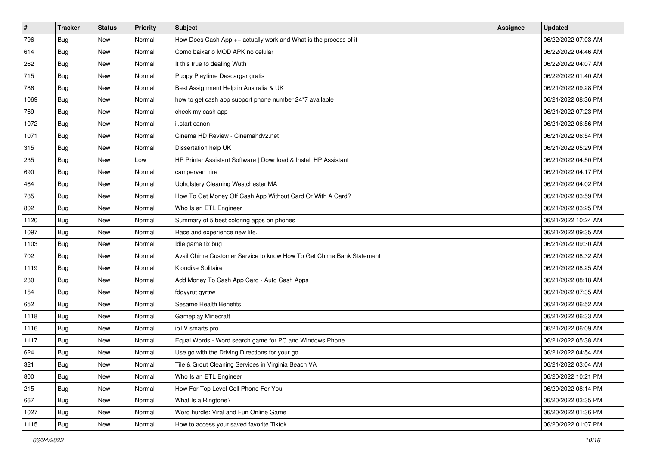| $\sharp$ | <b>Tracker</b> | <b>Status</b> | Priority | Subject                                                              | <b>Assignee</b> | <b>Updated</b>      |
|----------|----------------|---------------|----------|----------------------------------------------------------------------|-----------------|---------------------|
| 796      | <b>Bug</b>     | New           | Normal   | How Does Cash App ++ actually work and What is the process of it     |                 | 06/22/2022 07:03 AM |
| 614      | Bug            | New           | Normal   | Como baixar o MOD APK no celular                                     |                 | 06/22/2022 04:46 AM |
| 262      | Bug            | New           | Normal   | It this true to dealing Wuth                                         |                 | 06/22/2022 04:07 AM |
| 715      | Bug            | New           | Normal   | Puppy Playtime Descargar gratis                                      |                 | 06/22/2022 01:40 AM |
| 786      | Bug            | New           | Normal   | Best Assignment Help in Australia & UK                               |                 | 06/21/2022 09:28 PM |
| 1069     | <b>Bug</b>     | New           | Normal   | how to get cash app support phone number 24*7 available              |                 | 06/21/2022 08:36 PM |
| 769      | Bug            | New           | Normal   | check my cash app                                                    |                 | 06/21/2022 07:23 PM |
| 1072     | <b>Bug</b>     | New           | Normal   | ij.start canon                                                       |                 | 06/21/2022 06:56 PM |
| 1071     | Bug            | New           | Normal   | Cinema HD Review - Cinemahdv2.net                                    |                 | 06/21/2022 06:54 PM |
| 315      | Bug            | New           | Normal   | Dissertation help UK                                                 |                 | 06/21/2022 05:29 PM |
| 235      | <b>Bug</b>     | New           | Low      | HP Printer Assistant Software   Download & Install HP Assistant      |                 | 06/21/2022 04:50 PM |
| 690      | Bug            | New           | Normal   | campervan hire                                                       |                 | 06/21/2022 04:17 PM |
| 464      | Bug            | New           | Normal   | Upholstery Cleaning Westchester MA                                   |                 | 06/21/2022 04:02 PM |
| 785      | Bug            | New           | Normal   | How To Get Money Off Cash App Without Card Or With A Card?           |                 | 06/21/2022 03:59 PM |
| 802      | Bug            | New           | Normal   | Who Is an ETL Engineer                                               |                 | 06/21/2022 03:25 PM |
| 1120     | Bug            | New           | Normal   | Summary of 5 best coloring apps on phones                            |                 | 06/21/2022 10:24 AM |
| 1097     | Bug            | New           | Normal   | Race and experience new life.                                        |                 | 06/21/2022 09:35 AM |
| 1103     | Bug            | New           | Normal   | Idle game fix bug                                                    |                 | 06/21/2022 09:30 AM |
| 702      | Bug            | New           | Normal   | Avail Chime Customer Service to know How To Get Chime Bank Statement |                 | 06/21/2022 08:32 AM |
| 1119     | Bug            | New           | Normal   | Klondike Solitaire                                                   |                 | 06/21/2022 08:25 AM |
| 230      | <b>Bug</b>     | New           | Normal   | Add Money To Cash App Card - Auto Cash Apps                          |                 | 06/21/2022 08:18 AM |
| 154      | Bug            | New           | Normal   | fdgyyrut gyrtrw                                                      |                 | 06/21/2022 07:35 AM |
| 652      | Bug            | New           | Normal   | Sesame Health Benefits                                               |                 | 06/21/2022 06:52 AM |
| 1118     | <b>Bug</b>     | New           | Normal   | Gameplay Minecraft                                                   |                 | 06/21/2022 06:33 AM |
| 1116     | Bug            | New           | Normal   | ipTV smarts pro                                                      |                 | 06/21/2022 06:09 AM |
| 1117     | Bug            | New           | Normal   | Equal Words - Word search game for PC and Windows Phone              |                 | 06/21/2022 05:38 AM |
| 624      | <b>Bug</b>     | New           | Normal   | Use go with the Driving Directions for your go                       |                 | 06/21/2022 04:54 AM |
| 321      | Bug            | New           | Normal   | Tile & Grout Cleaning Services in Virginia Beach VA                  |                 | 06/21/2022 03:04 AM |
| 800      | <b>Bug</b>     | New           | Normal   | Who Is an ETL Engineer                                               |                 | 06/20/2022 10:21 PM |
| 215      | <b>Bug</b>     | New           | Normal   | How For Top Level Cell Phone For You                                 |                 | 06/20/2022 08:14 PM |
| 667      | <b>Bug</b>     | New           | Normal   | What Is a Ringtone?                                                  |                 | 06/20/2022 03:35 PM |
| 1027     | Bug            | New           | Normal   | Word hurdle: Viral and Fun Online Game                               |                 | 06/20/2022 01:36 PM |
| 1115     | <b>Bug</b>     | New           | Normal   | How to access your saved favorite Tiktok                             |                 | 06/20/2022 01:07 PM |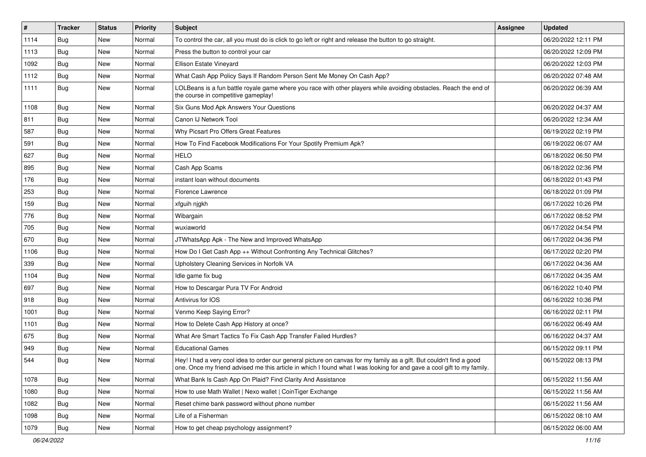| $\vert$ # | <b>Tracker</b> | <b>Status</b> | Priority | Subject                                                                                                                                                                                                                                        | Assignee | <b>Updated</b>      |
|-----------|----------------|---------------|----------|------------------------------------------------------------------------------------------------------------------------------------------------------------------------------------------------------------------------------------------------|----------|---------------------|
| 1114      | <b>Bug</b>     | New           | Normal   | To control the car, all you must do is click to go left or right and release the button to go straight.                                                                                                                                        |          | 06/20/2022 12:11 PM |
| 1113      | Bug            | New           | Normal   | Press the button to control your car                                                                                                                                                                                                           |          | 06/20/2022 12:09 PM |
| 1092      | Bug            | New           | Normal   | Ellison Estate Vineyard                                                                                                                                                                                                                        |          | 06/20/2022 12:03 PM |
| 1112      | <b>Bug</b>     | New           | Normal   | What Cash App Policy Says If Random Person Sent Me Money On Cash App?                                                                                                                                                                          |          | 06/20/2022 07:48 AM |
| 1111      | Bug            | New           | Normal   | LOLBeans is a fun battle royale game where you race with other players while avoiding obstacles. Reach the end of<br>the course in competitive gameplay!                                                                                       |          | 06/20/2022 06:39 AM |
| 1108      | Bug            | New           | Normal   | Six Guns Mod Apk Answers Your Questions                                                                                                                                                                                                        |          | 06/20/2022 04:37 AM |
| 811       | Bug            | New           | Normal   | Canon IJ Network Tool                                                                                                                                                                                                                          |          | 06/20/2022 12:34 AM |
| 587       | <b>Bug</b>     | New           | Normal   | Why Picsart Pro Offers Great Features                                                                                                                                                                                                          |          | 06/19/2022 02:19 PM |
| 591       | <b>Bug</b>     | New           | Normal   | How To Find Facebook Modifications For Your Spotify Premium Apk?                                                                                                                                                                               |          | 06/19/2022 06:07 AM |
| 627       | Bug            | New           | Normal   | <b>HELO</b>                                                                                                                                                                                                                                    |          | 06/18/2022 06:50 PM |
| 895       | <b>Bug</b>     | New           | Normal   | Cash App Scams                                                                                                                                                                                                                                 |          | 06/18/2022 02:36 PM |
| 176       | Bug            | New           | Normal   | instant loan without documents                                                                                                                                                                                                                 |          | 06/18/2022 01:43 PM |
| 253       | <b>Bug</b>     | New           | Normal   | Florence Lawrence                                                                                                                                                                                                                              |          | 06/18/2022 01:09 PM |
| 159       | Bug            | New           | Normal   | xfguih njgkh                                                                                                                                                                                                                                   |          | 06/17/2022 10:26 PM |
| 776       | <b>Bug</b>     | <b>New</b>    | Normal   | Wibargain                                                                                                                                                                                                                                      |          | 06/17/2022 08:52 PM |
| 705       | <b>Bug</b>     | New           | Normal   | wuxiaworld                                                                                                                                                                                                                                     |          | 06/17/2022 04:54 PM |
| 670       | Bug            | New           | Normal   | JTWhatsApp Apk - The New and Improved WhatsApp                                                                                                                                                                                                 |          | 06/17/2022 04:36 PM |
| 1106      | <b>Bug</b>     | New           | Normal   | How Do I Get Cash App ++ Without Confronting Any Technical Glitches?                                                                                                                                                                           |          | 06/17/2022 02:20 PM |
| 339       | Bug            | New           | Normal   | Upholstery Cleaning Services in Norfolk VA                                                                                                                                                                                                     |          | 06/17/2022 04:36 AM |
| 1104      | Bug            | <b>New</b>    | Normal   | Idle game fix bug                                                                                                                                                                                                                              |          | 06/17/2022 04:35 AM |
| 697       | <b>Bug</b>     | New           | Normal   | How to Descargar Pura TV For Android                                                                                                                                                                                                           |          | 06/16/2022 10:40 PM |
| 918       | Bug            | New           | Normal   | Antivirus for IOS                                                                                                                                                                                                                              |          | 06/16/2022 10:36 PM |
| 1001      | <b>Bug</b>     | New           | Normal   | Venmo Keep Saying Error?                                                                                                                                                                                                                       |          | 06/16/2022 02:11 PM |
| 1101      | <b>Bug</b>     | New           | Normal   | How to Delete Cash App History at once?                                                                                                                                                                                                        |          | 06/16/2022 06:49 AM |
| 675       | Bug            | New           | Normal   | What Are Smart Tactics To Fix Cash App Transfer Failed Hurdles?                                                                                                                                                                                |          | 06/16/2022 04:37 AM |
| 949       | <b>Bug</b>     | New           | Normal   | <b>Educational Games</b>                                                                                                                                                                                                                       |          | 06/15/2022 09:11 PM |
| 544       | Bug            | New           | Normal   | Hey! I had a very cool idea to order our general picture on canvas for my family as a gift. But couldn't find a good<br>one. Once my friend advised me this article in which I found what I was looking for and gave a cool gift to my family. |          | 06/15/2022 08:13 PM |
| 1078      | Bug            | New           | Normal   | What Bank Is Cash App On Plaid? Find Clarity And Assistance                                                                                                                                                                                    |          | 06/15/2022 11:56 AM |
| 1080      | Bug            | New           | Normal   | How to use Math Wallet   Nexo wallet   CoinTiger Exchange                                                                                                                                                                                      |          | 06/15/2022 11:56 AM |
| 1082      | <b>Bug</b>     | New           | Normal   | Reset chime bank password without phone number                                                                                                                                                                                                 |          | 06/15/2022 11:56 AM |
| 1098      | <b>Bug</b>     | New           | Normal   | Life of a Fisherman                                                                                                                                                                                                                            |          | 06/15/2022 08:10 AM |
| 1079      | Bug            | New           | Normal   | How to get cheap psychology assignment?                                                                                                                                                                                                        |          | 06/15/2022 06:00 AM |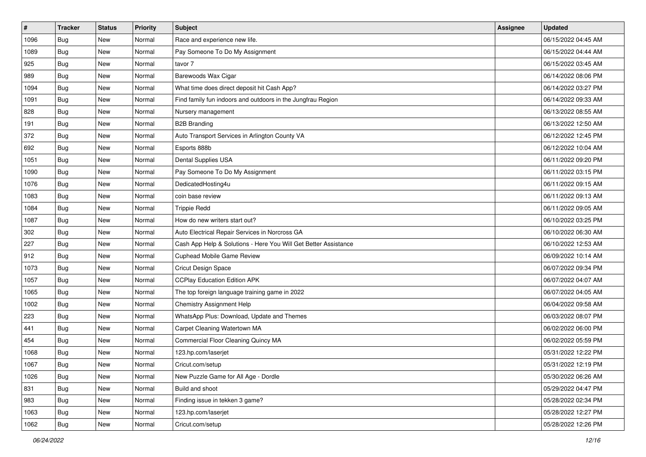| $\vert$ # | <b>Tracker</b> | <b>Status</b> | Priority | <b>Subject</b>                                                  | <b>Assignee</b> | <b>Updated</b>      |
|-----------|----------------|---------------|----------|-----------------------------------------------------------------|-----------------|---------------------|
| 1096      | <b>Bug</b>     | New           | Normal   | Race and experience new life.                                   |                 | 06/15/2022 04:45 AM |
| 1089      | Bug            | New           | Normal   | Pay Someone To Do My Assignment                                 |                 | 06/15/2022 04:44 AM |
| 925       | Bug            | New           | Normal   | tavor 7                                                         |                 | 06/15/2022 03:45 AM |
| 989       | <b>Bug</b>     | New           | Normal   | Barewoods Wax Cigar                                             |                 | 06/14/2022 08:06 PM |
| 1094      | Bug            | New           | Normal   | What time does direct deposit hit Cash App?                     |                 | 06/14/2022 03:27 PM |
| 1091      | Bug            | New           | Normal   | Find family fun indoors and outdoors in the Jungfrau Region     |                 | 06/14/2022 09:33 AM |
| 828       | Bug            | New           | Normal   | Nursery management                                              |                 | 06/13/2022 08:55 AM |
| 191       | Bug            | New           | Normal   | <b>B2B Branding</b>                                             |                 | 06/13/2022 12:50 AM |
| 372       | <b>Bug</b>     | New           | Normal   | Auto Transport Services in Arlington County VA                  |                 | 06/12/2022 12:45 PM |
| 692       | <b>Bug</b>     | <b>New</b>    | Normal   | Esports 888b                                                    |                 | 06/12/2022 10:04 AM |
| 1051      | Bug            | New           | Normal   | Dental Supplies USA                                             |                 | 06/11/2022 09:20 PM |
| 1090      | <b>Bug</b>     | New           | Normal   | Pay Someone To Do My Assignment                                 |                 | 06/11/2022 03:15 PM |
| 1076      | Bug            | New           | Normal   | DedicatedHosting4u                                              |                 | 06/11/2022 09:15 AM |
| 1083      | Bug            | New           | Normal   | coin base review                                                |                 | 06/11/2022 09:13 AM |
| 1084      | Bug            | New           | Normal   | <b>Trippie Redd</b>                                             |                 | 06/11/2022 09:05 AM |
| 1087      | Bug            | New           | Normal   | How do new writers start out?                                   |                 | 06/10/2022 03:25 PM |
| 302       | <b>Bug</b>     | New           | Normal   | Auto Electrical Repair Services in Norcross GA                  |                 | 06/10/2022 06:30 AM |
| 227       | Bug            | New           | Normal   | Cash App Help & Solutions - Here You Will Get Better Assistance |                 | 06/10/2022 12:53 AM |
| 912       | <b>Bug</b>     | New           | Normal   | Cuphead Mobile Game Review                                      |                 | 06/09/2022 10:14 AM |
| 1073      | Bug            | New           | Normal   | Cricut Design Space                                             |                 | 06/07/2022 09:34 PM |
| 1057      | Bug            | New           | Normal   | <b>CCPlay Education Edition APK</b>                             |                 | 06/07/2022 04:07 AM |
| 1065      | <b>Bug</b>     | New           | Normal   | The top foreign language training game in 2022                  |                 | 06/07/2022 04:05 AM |
| 1002      | Bug            | New           | Normal   | Chemistry Assignment Help                                       |                 | 06/04/2022 09:58 AM |
| 223       | <b>Bug</b>     | New           | Normal   | WhatsApp Plus: Download, Update and Themes                      |                 | 06/03/2022 08:07 PM |
| 441       | <b>Bug</b>     | New           | Normal   | Carpet Cleaning Watertown MA                                    |                 | 06/02/2022 06:00 PM |
| 454       | <b>Bug</b>     | New           | Normal   | Commercial Floor Cleaning Quincy MA                             |                 | 06/02/2022 05:59 PM |
| 1068      | Bug            | New           | Normal   | 123.hp.com/laserjet                                             |                 | 05/31/2022 12:22 PM |
| 1067      | Bug            | New           | Normal   | Cricut.com/setup                                                |                 | 05/31/2022 12:19 PM |
| 1026      | Bug            | New           | Normal   | New Puzzle Game for All Age - Dordle                            |                 | 05/30/2022 06:26 AM |
| 831       | Bug            | New           | Normal   | Build and shoot                                                 |                 | 05/29/2022 04:47 PM |
| 983       | Bug            | New           | Normal   | Finding issue in tekken 3 game?                                 |                 | 05/28/2022 02:34 PM |
| 1063      | Bug            | New           | Normal   | 123.hp.com/laserjet                                             |                 | 05/28/2022 12:27 PM |
| 1062      | <b>Bug</b>     | New           | Normal   | Cricut.com/setup                                                |                 | 05/28/2022 12:26 PM |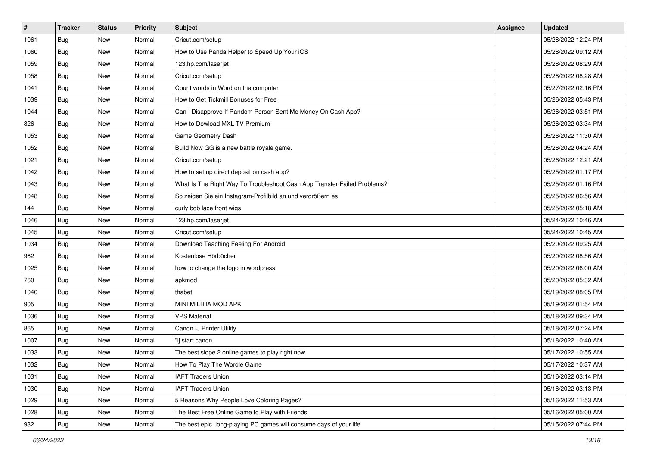| #    | <b>Tracker</b> | <b>Status</b> | <b>Priority</b> | Subject                                                                  | <b>Assignee</b> | <b>Updated</b>      |
|------|----------------|---------------|-----------------|--------------------------------------------------------------------------|-----------------|---------------------|
| 1061 | <b>Bug</b>     | New           | Normal          | Cricut.com/setup                                                         |                 | 05/28/2022 12:24 PM |
| 1060 | Bug            | New           | Normal          | How to Use Panda Helper to Speed Up Your iOS                             |                 | 05/28/2022 09:12 AM |
| 1059 | Bug            | New           | Normal          | 123.hp.com/laserjet                                                      |                 | 05/28/2022 08:29 AM |
| 1058 | <b>Bug</b>     | New           | Normal          | Cricut.com/setup                                                         |                 | 05/28/2022 08:28 AM |
| 1041 | Bug            | <b>New</b>    | Normal          | Count words in Word on the computer                                      |                 | 05/27/2022 02:16 PM |
| 1039 | Bug            | New           | Normal          | How to Get Tickmill Bonuses for Free                                     |                 | 05/26/2022 05:43 PM |
| 1044 | <b>Bug</b>     | New           | Normal          | Can I Disapprove If Random Person Sent Me Money On Cash App?             |                 | 05/26/2022 03:51 PM |
| 826  | <b>Bug</b>     | New           | Normal          | How to Dowload MXL TV Premium                                            |                 | 05/26/2022 03:34 PM |
| 1053 | <b>Bug</b>     | New           | Normal          | Game Geometry Dash                                                       |                 | 05/26/2022 11:30 AM |
| 1052 | Bug            | New           | Normal          | Build Now GG is a new battle royale game.                                |                 | 05/26/2022 04:24 AM |
| 1021 | Bug            | New           | Normal          | Cricut.com/setup                                                         |                 | 05/26/2022 12:21 AM |
| 1042 | <b>Bug</b>     | New           | Normal          | How to set up direct deposit on cash app?                                |                 | 05/25/2022 01:17 PM |
| 1043 | Bug            | New           | Normal          | What Is The Right Way To Troubleshoot Cash App Transfer Failed Problems? |                 | 05/25/2022 01:16 PM |
| 1048 | <b>Bug</b>     | New           | Normal          | So zeigen Sie ein Instagram-Profilbild an und vergrößern es              |                 | 05/25/2022 06:56 AM |
| 144  | Bug            | New           | Normal          | curly bob lace front wigs                                                |                 | 05/25/2022 05:18 AM |
| 1046 | <b>Bug</b>     | New           | Normal          | 123.hp.com/laserjet                                                      |                 | 05/24/2022 10:46 AM |
| 1045 | <b>Bug</b>     | New           | Normal          | Cricut.com/setup                                                         |                 | 05/24/2022 10:45 AM |
| 1034 | Bug            | New           | Normal          | Download Teaching Feeling For Android                                    |                 | 05/20/2022 09:25 AM |
| 962  | Bug            | New           | Normal          | Kostenlose Hörbücher                                                     |                 | 05/20/2022 08:56 AM |
| 1025 | <b>Bug</b>     | New           | Normal          | how to change the logo in wordpress                                      |                 | 05/20/2022 06:00 AM |
| 760  | Bug            | New           | Normal          | apkmod                                                                   |                 | 05/20/2022 05:32 AM |
| 1040 | <b>Bug</b>     | New           | Normal          | thabet                                                                   |                 | 05/19/2022 08:05 PM |
| 905  | Bug            | <b>New</b>    | Normal          | MINI MILITIA MOD APK                                                     |                 | 05/19/2022 01:54 PM |
| 1036 | Bug            | New           | Normal          | <b>VPS Material</b>                                                      |                 | 05/18/2022 09:34 PM |
| 865  | Bug            | New           | Normal          | Canon IJ Printer Utility                                                 |                 | 05/18/2022 07:24 PM |
| 1007 | <b>Bug</b>     | New           | Normal          | "ij.start canon                                                          |                 | 05/18/2022 10:40 AM |
| 1033 | <b>Bug</b>     | New           | Normal          | The best slope 2 online games to play right now                          |                 | 05/17/2022 10:55 AM |
| 1032 | Bug            | New           | Normal          | How To Play The Wordle Game                                              |                 | 05/17/2022 10:37 AM |
| 1031 | Bug            | New           | Normal          | <b>IAFT Traders Union</b>                                                |                 | 05/16/2022 03:14 PM |
| 1030 | <b>Bug</b>     | New           | Normal          | <b>IAFT Traders Union</b>                                                |                 | 05/16/2022 03:13 PM |
| 1029 | Bug            | New           | Normal          | 5 Reasons Why People Love Coloring Pages?                                |                 | 05/16/2022 11:53 AM |
| 1028 | Bug            | New           | Normal          | The Best Free Online Game to Play with Friends                           |                 | 05/16/2022 05:00 AM |
| 932  | <b>Bug</b>     | New           | Normal          | The best epic, long-playing PC games will consume days of your life.     |                 | 05/15/2022 07:44 PM |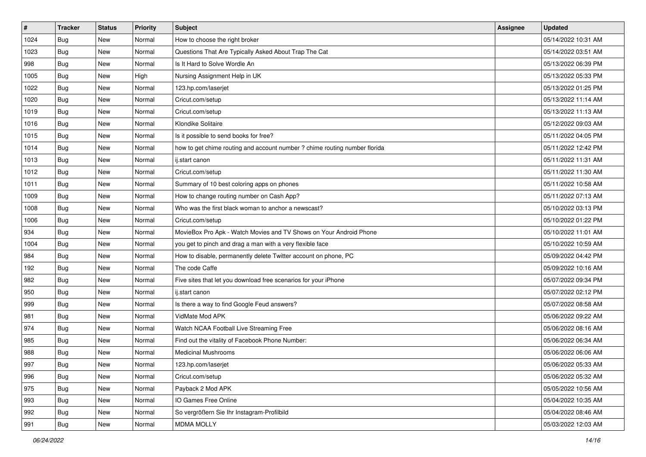| $\sharp$ | <b>Tracker</b> | <b>Status</b> | Priority | Subject                                                                    | <b>Assignee</b> | <b>Updated</b>      |
|----------|----------------|---------------|----------|----------------------------------------------------------------------------|-----------------|---------------------|
| 1024     | <b>Bug</b>     | New           | Normal   | How to choose the right broker                                             |                 | 05/14/2022 10:31 AM |
| 1023     | <b>Bug</b>     | New           | Normal   | Questions That Are Typically Asked About Trap The Cat                      |                 | 05/14/2022 03:51 AM |
| 998      | Bug            | New           | Normal   | Is It Hard to Solve Wordle An                                              |                 | 05/13/2022 06:39 PM |
| 1005     | Bug            | New           | High     | Nursing Assignment Help in UK                                              |                 | 05/13/2022 05:33 PM |
| 1022     | Bug            | New           | Normal   | 123.hp.com/laserjet                                                        |                 | 05/13/2022 01:25 PM |
| 1020     | Bug            | New           | Normal   | Cricut.com/setup                                                           |                 | 05/13/2022 11:14 AM |
| 1019     | Bug            | New           | Normal   | Cricut.com/setup                                                           |                 | 05/13/2022 11:13 AM |
| 1016     | Bug            | New           | Normal   | Klondike Solitaire                                                         |                 | 05/12/2022 09:03 AM |
| 1015     | Bug            | New           | Normal   | Is it possible to send books for free?                                     |                 | 05/11/2022 04:05 PM |
| 1014     | Bug            | New           | Normal   | how to get chime routing and account number ? chime routing number florida |                 | 05/11/2022 12:42 PM |
| 1013     | Bug            | New           | Normal   | ij.start canon                                                             |                 | 05/11/2022 11:31 AM |
| 1012     | Bug            | New           | Normal   | Cricut.com/setup                                                           |                 | 05/11/2022 11:30 AM |
| 1011     | Bug            | New           | Normal   | Summary of 10 best coloring apps on phones                                 |                 | 05/11/2022 10:58 AM |
| 1009     | Bug            | New           | Normal   | How to change routing number on Cash App?                                  |                 | 05/11/2022 07:13 AM |
| 1008     | Bug            | New           | Normal   | Who was the first black woman to anchor a newscast?                        |                 | 05/10/2022 03:13 PM |
| 1006     | Bug            | New           | Normal   | Cricut.com/setup                                                           |                 | 05/10/2022 01:22 PM |
| 934      | Bug            | New           | Normal   | MovieBox Pro Apk - Watch Movies and TV Shows on Your Android Phone         |                 | 05/10/2022 11:01 AM |
| 1004     | Bug            | New           | Normal   | you get to pinch and drag a man with a very flexible face                  |                 | 05/10/2022 10:59 AM |
| 984      | Bug            | New           | Normal   | How to disable, permanently delete Twitter account on phone, PC            |                 | 05/09/2022 04:42 PM |
| 192      | Bug            | New           | Normal   | The code Caffe                                                             |                 | 05/09/2022 10:16 AM |
| 982      | <b>Bug</b>     | New           | Normal   | Five sites that let you download free scenarios for your iPhone            |                 | 05/07/2022 09:34 PM |
| 950      | Bug            | New           | Normal   | ij.start canon                                                             |                 | 05/07/2022 02:12 PM |
| 999      | Bug            | New           | Normal   | Is there a way to find Google Feud answers?                                |                 | 05/07/2022 08:58 AM |
| 981      | <b>Bug</b>     | New           | Normal   | VidMate Mod APK                                                            |                 | 05/06/2022 09:22 AM |
| 974      | Bug            | New           | Normal   | Watch NCAA Football Live Streaming Free                                    |                 | 05/06/2022 08:16 AM |
| 985      | Bug            | New           | Normal   | Find out the vitality of Facebook Phone Number:                            |                 | 05/06/2022 06:34 AM |
| 988      | <b>Bug</b>     | New           | Normal   | <b>Medicinal Mushrooms</b>                                                 |                 | 05/06/2022 06:06 AM |
| 997      | <b>Bug</b>     | New           | Normal   | 123.hp.com/laserjet                                                        |                 | 05/06/2022 05:33 AM |
| 996      | <b>Bug</b>     | New           | Normal   | Cricut.com/setup                                                           |                 | 05/06/2022 05:32 AM |
| 975      | <b>Bug</b>     | New           | Normal   | Payback 2 Mod APK                                                          |                 | 05/05/2022 10:56 AM |
| 993      | <b>Bug</b>     | New           | Normal   | IO Games Free Online                                                       |                 | 05/04/2022 10:35 AM |
| 992      | Bug            | New           | Normal   | So vergrößern Sie Ihr Instagram-Profilbild                                 |                 | 05/04/2022 08:46 AM |
| 991      | <b>Bug</b>     | New           | Normal   | <b>MDMA MOLLY</b>                                                          |                 | 05/03/2022 12:03 AM |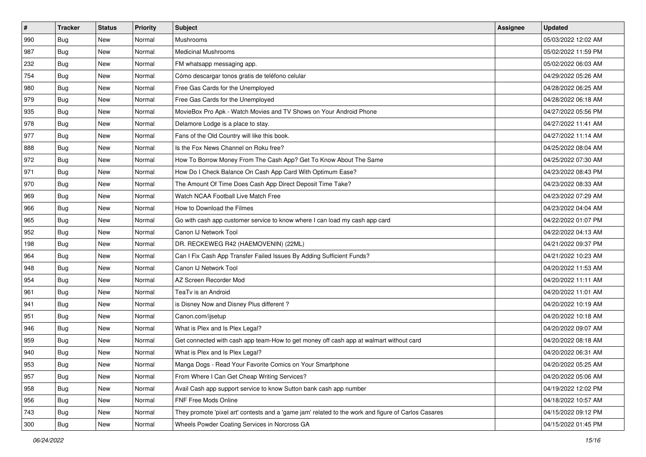| $\vert$ # | <b>Tracker</b> | <b>Status</b> | <b>Priority</b> | <b>Subject</b>                                                                                      | <b>Assignee</b> | <b>Updated</b>      |
|-----------|----------------|---------------|-----------------|-----------------------------------------------------------------------------------------------------|-----------------|---------------------|
| 990       | Bug            | New           | Normal          | Mushrooms                                                                                           |                 | 05/03/2022 12:02 AM |
| 987       | Bug            | New           | Normal          | <b>Medicinal Mushrooms</b>                                                                          |                 | 05/02/2022 11:59 PM |
| 232       | <b>Bug</b>     | New           | Normal          | FM whatsapp messaging app.                                                                          |                 | 05/02/2022 06:03 AM |
| 754       | Bug            | New           | Normal          | Cómo descargar tonos gratis de teléfono celular                                                     |                 | 04/29/2022 05:26 AM |
| 980       | <b>Bug</b>     | New           | Normal          | Free Gas Cards for the Unemployed                                                                   |                 | 04/28/2022 06:25 AM |
| 979       | Bug            | New           | Normal          | Free Gas Cards for the Unemployed                                                                   |                 | 04/28/2022 06:18 AM |
| 935       | <b>Bug</b>     | New           | Normal          | MovieBox Pro Apk - Watch Movies and TV Shows on Your Android Phone                                  |                 | 04/27/2022 05:56 PM |
| 978       | <b>Bug</b>     | New           | Normal          | Delamore Lodge is a place to stay.                                                                  |                 | 04/27/2022 11:41 AM |
| 977       | <b>Bug</b>     | New           | Normal          | Fans of the Old Country will like this book.                                                        |                 | 04/27/2022 11:14 AM |
| 888       | Bug            | <b>New</b>    | Normal          | Is the Fox News Channel on Roku free?                                                               |                 | 04/25/2022 08:04 AM |
| 972       | <b>Bug</b>     | New           | Normal          | How To Borrow Money From The Cash App? Get To Know About The Same                                   |                 | 04/25/2022 07:30 AM |
| 971       | <b>Bug</b>     | New           | Normal          | How Do I Check Balance On Cash App Card With Optimum Ease?                                          |                 | 04/23/2022 08:43 PM |
| 970       | Bug            | New           | Normal          | The Amount Of Time Does Cash App Direct Deposit Time Take?                                          |                 | 04/23/2022 08:33 AM |
| 969       | <b>Bug</b>     | New           | Normal          | Watch NCAA Football Live Match Free                                                                 |                 | 04/23/2022 07:29 AM |
| 966       | Bug            | New           | Normal          | How to Download the Filmes                                                                          |                 | 04/23/2022 04:04 AM |
| 965       | <b>Bug</b>     | New           | Normal          | Go with cash app customer service to know where I can load my cash app card                         |                 | 04/22/2022 01:07 PM |
| 952       | Bug            | New           | Normal          | Canon IJ Network Tool                                                                               |                 | 04/22/2022 04:13 AM |
| 198       | Bug            | New           | Normal          | DR. RECKEWEG R42 (HAEMOVENIN) (22ML)                                                                |                 | 04/21/2022 09:37 PM |
| 964       | Bug            | New           | Normal          | Can I Fix Cash App Transfer Failed Issues By Adding Sufficient Funds?                               |                 | 04/21/2022 10:23 AM |
| 948       | Bug            | New           | Normal          | Canon IJ Network Tool                                                                               |                 | 04/20/2022 11:53 AM |
| 954       | <b>Bug</b>     | New           | Normal          | AZ Screen Recorder Mod                                                                              |                 | 04/20/2022 11:11 AM |
| 961       | Bug            | New           | Normal          | TeaTv is an Android                                                                                 |                 | 04/20/2022 11:01 AM |
| 941       | Bug            | New           | Normal          | is Disney Now and Disney Plus different?                                                            |                 | 04/20/2022 10:19 AM |
| 951       | <b>Bug</b>     | New           | Normal          | Canon.com/ijsetup                                                                                   |                 | 04/20/2022 10:18 AM |
| 946       | Bug            | New           | Normal          | What is Plex and Is Plex Legal?                                                                     |                 | 04/20/2022 09:07 AM |
| 959       | Bug            | New           | Normal          | Get connected with cash app team-How to get money off cash app at walmart without card              |                 | 04/20/2022 08:18 AM |
| 940       | <b>Bug</b>     | New           | Normal          | What is Plex and Is Plex Legal?                                                                     |                 | 04/20/2022 06:31 AM |
| 953       | <b>Bug</b>     | New           | Normal          | Manga Dogs - Read Your Favorite Comics on Your Smartphone                                           |                 | 04/20/2022 05:25 AM |
| 957       | Bug            | New           | Normal          | From Where I Can Get Cheap Writing Services?                                                        |                 | 04/20/2022 05:06 AM |
| 958       | <b>Bug</b>     | New           | Normal          | Avail Cash app support service to know Sutton bank cash app number                                  |                 | 04/19/2022 12:02 PM |
| 956       | <b>Bug</b>     | New           | Normal          | FNF Free Mods Online                                                                                |                 | 04/18/2022 10:57 AM |
| 743       | <b>Bug</b>     | New           | Normal          | They promote 'pixel art' contests and a 'game jam' related to the work and figure of Carlos Casares |                 | 04/15/2022 09:12 PM |
| 300       | <b>Bug</b>     | New           | Normal          | Wheels Powder Coating Services in Norcross GA                                                       |                 | 04/15/2022 01:45 PM |